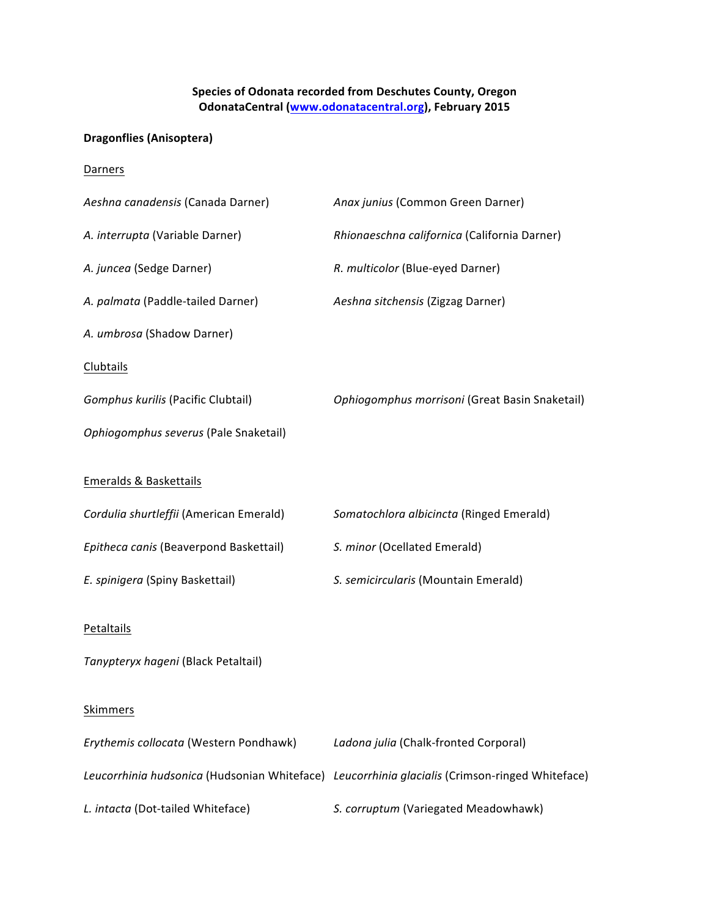## **Species of Odonata recorded from Deschutes County, Oregon OdonataCentral** (www.odonatacentral.org), February 2015

## **Dragonflies (Anisoptera)**

**Darners** 

| Aeshna canadensis (Canada Darner)       | Anax junius (Common Green Darner)                                                              |
|-----------------------------------------|------------------------------------------------------------------------------------------------|
| A. interrupta (Variable Darner)         | Rhionaeschna californica (California Darner)                                                   |
| A. juncea (Sedge Darner)                | R. multicolor (Blue-eyed Darner)                                                               |
| A. palmata (Paddle-tailed Darner)       | Aeshna sitchensis (Zigzag Darner)                                                              |
| A. umbrosa (Shadow Darner)              |                                                                                                |
| <b>Clubtails</b>                        |                                                                                                |
| Gomphus kurilis (Pacific Clubtail)      | Ophiogomphus morrisoni (Great Basin Snaketail)                                                 |
| Ophiogomphus severus (Pale Snaketail)   |                                                                                                |
| <b>Emeralds &amp; Baskettails</b>       |                                                                                                |
| Cordulia shurtleffii (American Emerald) | Somatochlora albicincta (Ringed Emerald)                                                       |
| Epitheca canis (Beaverpond Baskettail)  | S. minor (Ocellated Emerald)                                                                   |
| E. spinigera (Spiny Baskettail)         | S. semicircularis (Mountain Emerald)                                                           |
| <b>Petaltails</b>                       |                                                                                                |
| Tanypteryx hageni (Black Petaltail)     |                                                                                                |
| <b>Skimmers</b>                         |                                                                                                |
| Erythemis collocata (Western Pondhawk)  | Ladona julia (Chalk-fronted Corporal)                                                          |
|                                         | Leucorrhinia hudsonica (Hudsonian Whiteface) Leucorrhinia glacialis (Crimson-ringed Whiteface) |
| L. intacta (Dot-tailed Whiteface)       | S. corruptum (Variegated Meadowhawk)                                                           |